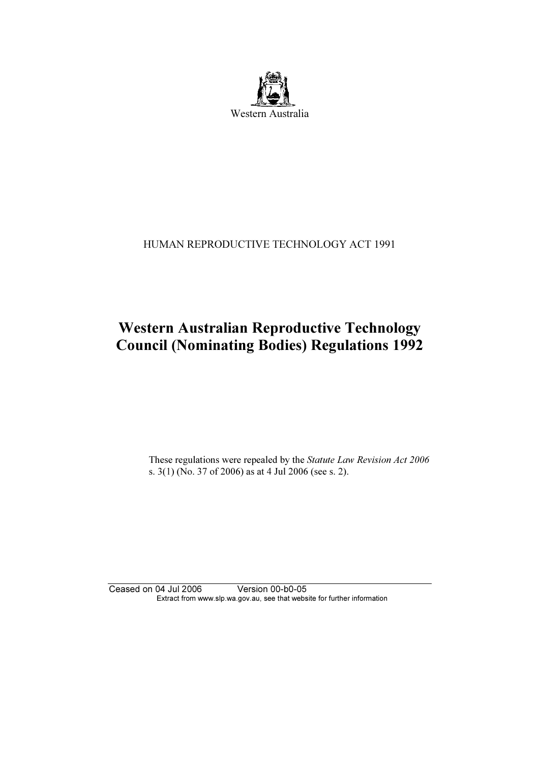

### HUMAN REPRODUCTIVE TECHNOLOGY ACT 1991

# Western Australian Reproductive Technology Council (Nominating Bodies) Regulations 1992

 These regulations were repealed by the Statute Law Revision Act 2006 s. 3(1) (No. 37 of 2006) as at 4 Jul 2006 (see s. 2).

Ceased on 04 Jul 2006 Version 00-b0-05 Extract from www.slp.wa.gov.au, see that website for further information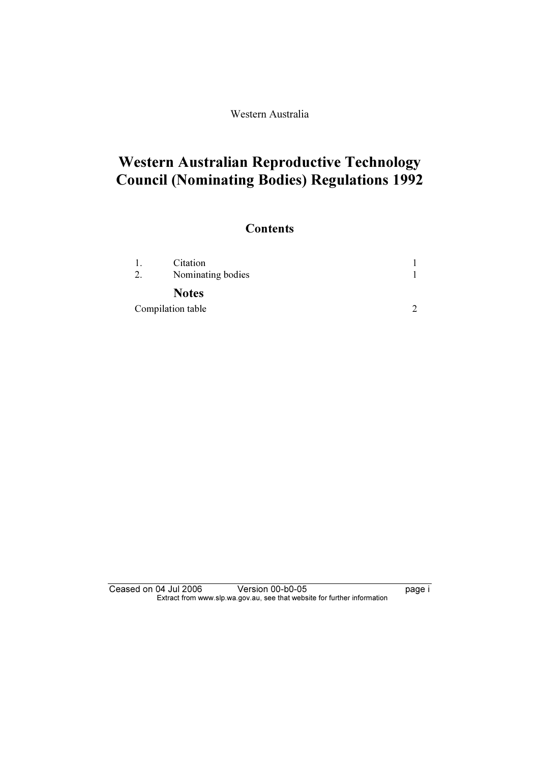Western Australia

# Western Australian Reproductive Technology Council (Nominating Bodies) Regulations 1992

## **Contents**

| 2.                | Citation<br>Nominating bodies |  |
|-------------------|-------------------------------|--|
|                   | <b>Notes</b>                  |  |
| Compilation table |                               |  |

Ceased on 04 Jul 2006 Version 00-b0-05 page i Extract from www.slp.wa.gov.au, see that website for further information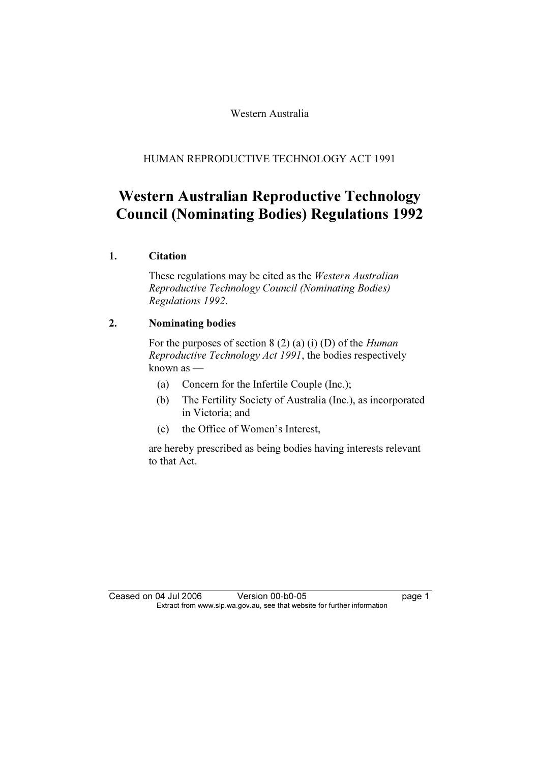Western Australia

HUMAN REPRODUCTIVE TECHNOLOGY ACT 1991

## Western Australian Reproductive Technology Council (Nominating Bodies) Regulations 1992

### 1. Citation

 These regulations may be cited as the Western Australian Reproductive Technology Council (Nominating Bodies) Regulations 1992.

### 2. Nominating bodies

For the purposes of section  $8(2)$  (a) (i) (D) of the *Human* Reproductive Technology Act 1991, the bodies respectively known as —

- (a) Concern for the Infertile Couple (Inc.);
- (b) The Fertility Society of Australia (Inc.), as incorporated in Victoria; and
- (c) the Office of Women's Interest,

 are hereby prescribed as being bodies having interests relevant to that Act.